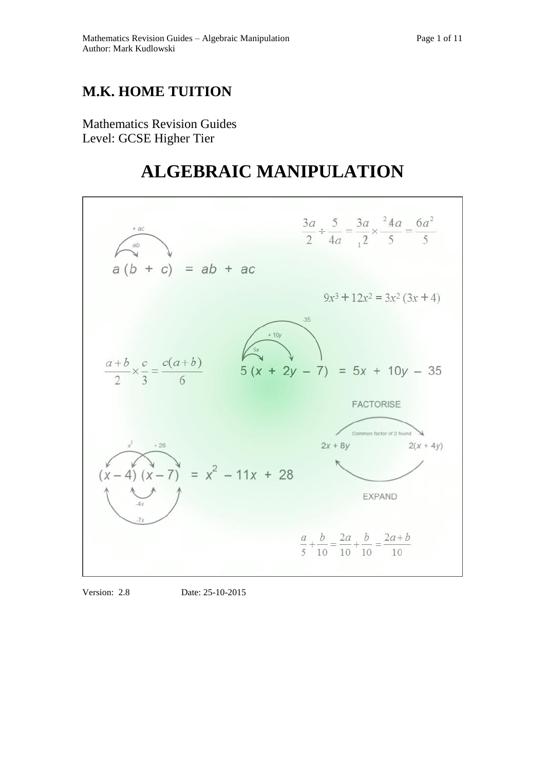## **M.K. HOME TUITION**

Mathematics Revision Guides Level: GCSE Higher Tier

# **ALGEBRAIC MANIPULATION**



Version: 2.8 Date: 25-10-2015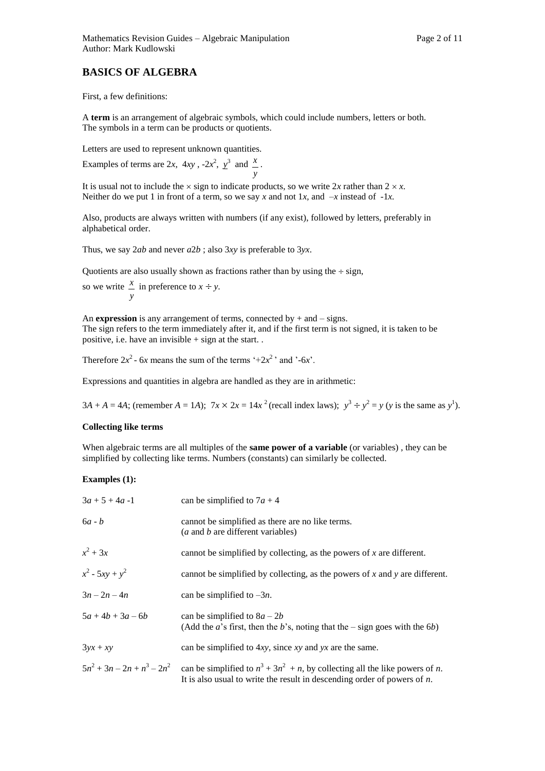### **BASICS OF ALGEBRA**

First, a few definitions:

A **term** is an arrangement of algebraic symbols, which could include numbers, letters or both. The symbols in a term can be products or quotients.

Letters are used to represent unknown quantities.

Examples of terms are 2*x*, 4*xy*,  $-2x^2$ ,  $y^3$  and *y x* .

It is usual not to include the  $\times$  sign to indicate products, so we write 2*x* rather than 2  $\times$  *x*. Neither do we put 1 in front of a term, so we say *x* and not 1*x*, and  $-x$  instead of  $-1x$ .

Also, products are always written with numbers (if any exist), followed by letters, preferably in alphabetical order.

Thus, we say 2*ab* and never *a*2*b* ; also 3*xy* is preferable to 3*yx*.

Quotients are also usually shown as fractions rather than by using the  $\div$  sign,

so we write 
$$
\frac{x}{y}
$$
 in preference to  $x \div y$ .

An **expression** is any arrangement of terms, connected by  $+$  and  $-$  signs. The sign refers to the term immediately after it, and if the first term is not signed, it is taken to be positive, i.e. have an invisible + sign at the start. .

Therefore  $2x^2$  - 6*x* means the sum of the terms '+2 $x^2$ ' and '-6*x*'.

Expressions and quantities in algebra are handled as they are in arithmetic:

3*A* + *A* = 4*A*; (remember *A* = 1*A*);  $7x \times 2x = 14x^2$  (recall index laws);  $y^3 \div y^2 = y$  (*y* is the same as *y*<sup>1</sup>).

#### **Collecting like terms**

When algebraic terms are all multiples of the **same power of a variable** (or variables), they can be simplified by collecting like terms. Numbers (constants) can similarly be collected.

#### **Examples (1):**

| $3a + 5 + 4a - 1$   | can be simplified to $7a + 4$                                                                                                                                                                        |
|---------------------|------------------------------------------------------------------------------------------------------------------------------------------------------------------------------------------------------|
| $6a - b$            | cannot be simplified as there are no like terms.<br>( <i>a</i> and <i>b</i> are different variables)                                                                                                 |
| $x^2+3x$            | cannot be simplified by collecting, as the powers of $x$ are different.                                                                                                                              |
| $x^2$ - 5xy + $y^2$ | cannot be simplified by collecting, as the powers of x and y are different.                                                                                                                          |
| $3n - 2n - 4n$      | can be simplified to $-3n$ .                                                                                                                                                                         |
| $5a + 4b + 3a - 6b$ | can be simplified to $8a - 2b$<br>(Add the <i>a</i> 's first, then the <i>b</i> 's, noting that the $-$ sign goes with the 6 <i>b</i> )                                                              |
| $3yx + xy$          | can be simplified to $4xy$ , since xy and yx are the same.                                                                                                                                           |
|                     | $5n^2 + 3n - 2n + n^3 - 2n^2$ can be simplified to $n^3 + 3n^2 + n$ , by collecting all the like powers of <i>n</i> .<br>It is also usual to write the result in descending order of powers of $n$ . |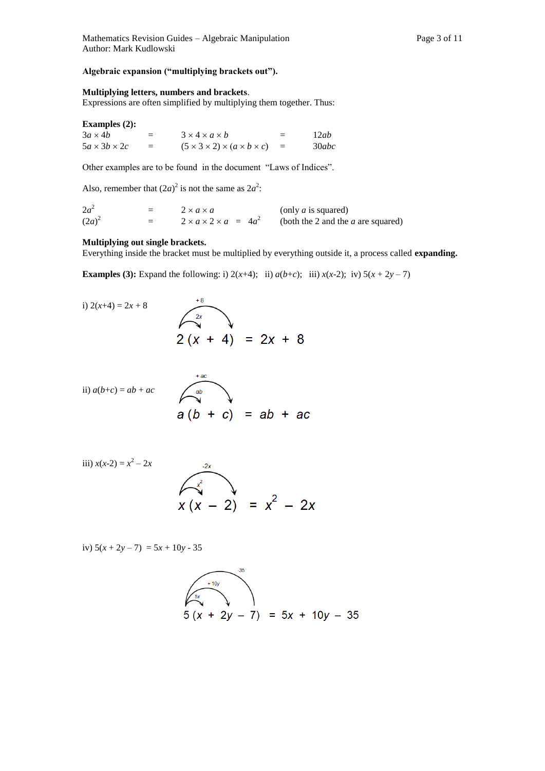#### **Algebraic expansion ("multiplying brackets out").**

#### **Multiplying letters, numbers and brackets**.

Expressions are often simplified by multiplying them together. Thus:

#### **Examples (2):**

| $3a \times 4b$           | $3 \times 4 \times a \times b$                       | 二   | 12ab  |
|--------------------------|------------------------------------------------------|-----|-------|
| $5a \times 3b \times 2c$ | $(5 \times 3 \times 2) \times (a \times b \times c)$ | $=$ | 30abc |

Other examples are to be found in the document "Laws of Indices".

Also, remember that  $(2a)^2$  is not the same as  $2a^2$ .

| $2a^2$   | $=$ | $2 \times a \times a$                 | (only $a$ is squared)                |
|----------|-----|---------------------------------------|--------------------------------------|
| $(2a)^2$ | $=$ | $2 \times a \times 2 \times a = 4a^2$ | (both the 2 and the $a$ are squared) |

#### **Multiplying out single brackets.**

Everything inside the bracket must be multiplied by everything outside it, a process called **expanding.** 

**Examples (3):** Expand the following: i)  $2(x+4)$ ; ii)  $a(b+c)$ ; iii)  $x(x-2)$ ; iv)  $5(x + 2y - 7)$ 

i) 
$$
2(x+4) = 2x + 8
$$
  
2  $(x + 4) = 2x + 8$   
2  $(x + 4) = 2x + 8$ 

ii) 
$$
a(b+c) = ab + ac
$$
  
\na  $(b + c) = ab + ac$   
\nb  $a(b + c) = ab + ac$ 

iii) 
$$
x(x-2) = x^2 - 2x
$$
  
 $x(x - 2) = x^2 - 2x$ 

iv)  $5(x+2y-7) = 5x + 10y - 35$ 

$$
5(x + 2y - 7) = 5x + 10y - 35
$$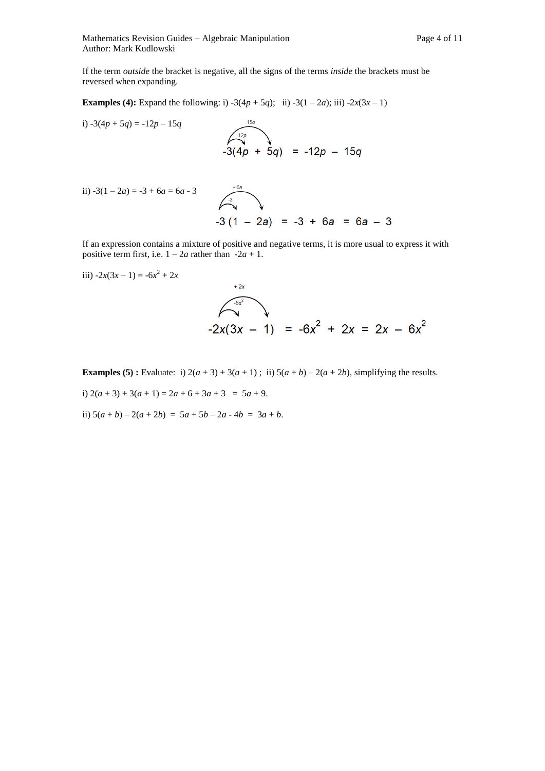Mathematics Revision Guides – Algebraic Manipulation Page 4 of 11 Author: Mark Kudlowski

If the term *outside* the bracket is negative, all the signs of the terms *inside* the brackets must be reversed when expanding.

**Examples (4):** Expand the following: i)  $-3(4p + 5q)$ ; ii)  $-3(1 - 2a)$ ; iii)  $-2x(3x - 1)$ 

i) 
$$
-3(4p + 5q) = -12p - 15q
$$
  
\n $-3(4p + 5q) = -12p - 15q$   
\nii)  $-3(1-2a) = -3 + 6a = 6a - 3$   
\n $3(4p + 5q) = -12p - 15q$ 

$$
(1-2a) = -3 + 6a = 6a - 3
$$
  

$$
-3(1 - 2a) = -3 + 6a = 6a - 3
$$

If an expression contains a mixture of positive and negative terms, it is more usual to express it with positive term first, i.e.  $1 - 2a$  rather than  $-2a + 1$ .

iii) 
$$
-2x(3x-1) = -6x^2 + 2x
$$
  
  
-2x(3x - 1) =  $-6x^2 + 2x = 2x - 6x^2$ 

**Examples (5) :** Evaluate: i)  $2(a+3) + 3(a+1)$ ; ii)  $5(a+b) - 2(a+2b)$ , simplifying the results.

i)  $2(a+3) + 3(a+1) = 2a + 6 + 3a + 3 = 5a + 9$ .

ii)  $5(a + b) - 2(a + 2b) = 5a + 5b - 2a - 4b = 3a + b$ .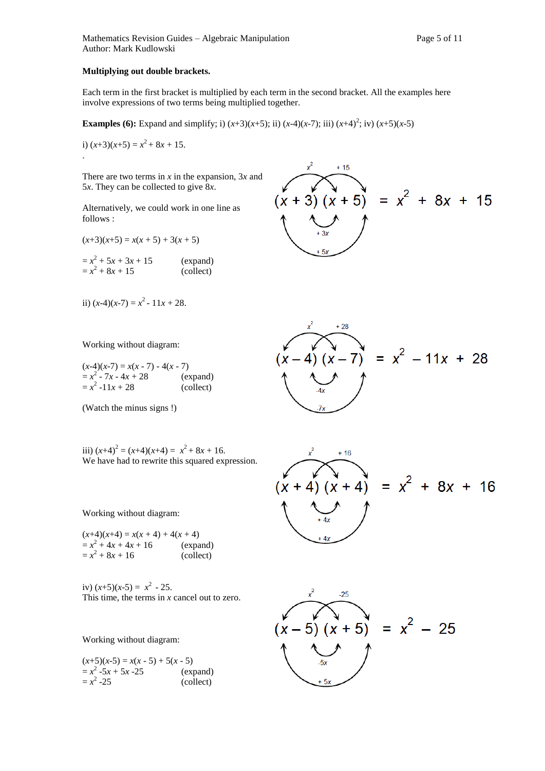#### **Multiplying out double brackets.**

Each term in the first bracket is multiplied by each term in the second bracket. All the examples here involve expressions of two terms being multiplied together.

**Examples (6):** Expand and simplify; i)  $(x+3)(x+5)$ ; ii)  $(x-4)(x-7)$ ; iii)  $(x+4)^2$ ; iv)  $(x+5)(x-5)$ 

i)  $(x+3)(x+5) = x^2 + 8x + 15$ . .

There are two terms in *x* in the expansion, 3*x* and 5*x*. They can be collected to give 8*x*.

Alternatively, we could work in one line as follows :

 $(x+3)(x+5) = x(x+5) + 3(x+5)$ 

 $=x^2 + 5x + 3x + 15$  (expand)  $=x^2 + 8x + 15$  (collect)

ii)  $(x-4)(x-7) = x^2 - 11x + 28$ .

Working without diagram:

 $(x-4)(x-7) = x(x-7) - 4(x-7)$  $=x^2 - 7x - 4x + 28$  (expand)  $=x^2 -11x + 28$  (collect)

(Watch the minus signs !)

iii)  $(x+4)^2 = (x+4)(x+4) = x^2 + 8x + 16$ . We have had to rewrite this squared expression.

Working without diagram:

 $(x+4)(x+4) = x(x + 4) + 4(x + 4)$  $= x^2 + 4x + 4x + 16$  (expand)  $= x^2 + 8x + 16$  (collect)

iv)  $(x+5)(x-5) = x^2 - 25$ . This time, the terms in *x* cancel out to zero.

Working without diagram:

 $(x+5)(x-5) = x(x-5) + 5(x-5)$  $=x^2 -5x + 5x -25$  (expand)  $=x^2$ (collect)  $3)(x + 5) = x^2 + 8x + 15$ 





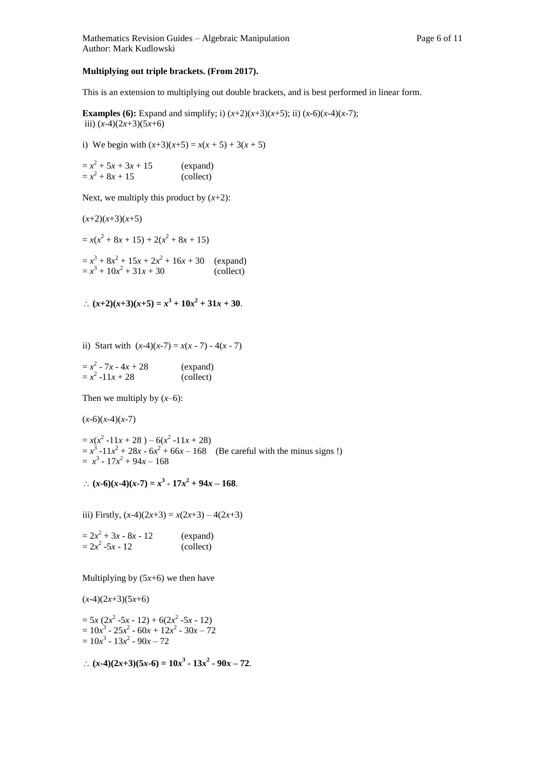#### **Multiplying out triple brackets. (From 2017).**

This is an extension to multiplying out double brackets, and is best performed in linear form.

**Examples (6):** Expand and simplify; i)  $(x+2)(x+3)(x+5)$ ; ii)  $(x-6)(x-4)(x-7)$ ; iii) (*x*-4)(2*x*+3)(5*x*+6)

i) We begin with  $(x+3)(x+5) = x(x+5) + 3(x+5)$ 

 $=x^2 + 5x + 3x + 15$  (expand)  $= x^2 + 8x + 15$  (collect)

Next, we multiply this product by  $(x+2)$ :

 $(x+2)(x+3)(x+5)$  $= x(x^2 + 8x + 15) + 2(x^2 + 8x + 15)$  $= x^3 + 8x^2 + 15x + 2x^2 + 16x + 30$  (expand)  $= x^3 + 10x^2 + 31x + 30$  (collect)

:.  $(x+2)(x+3)(x+5) = x^3 + 10x^2 + 31x + 30$ .

ii) Start with  $(x-4)(x-7) = x(x-7) - 4(x-7)$ 

| $= x^2 - 7x - 4x + 28$ | (expand)  |
|------------------------|-----------|
| $= x^2 - 11x + 28$     | (collect) |

Then we multiply by  $(x-6)$ :

 $(x-6)(x-4)(x-7)$ 

 $= x(x^2 - 11x + 28) - 6(x^2 - 11x + 28)$  $= x^{3} -11x^{2} + 28x - 6x^{2} + 66x - 168$  (Be careful with the minus signs !)  $= x^3 - 17x^2 + 94x - 168$ 

:  $(x-6)(x-4)(x-7) = x^3 - 17x^2 + 94x - 168$ .

iii) Firstly,  $(x-4)(2x+3) = x(2x+3) - 4(2x+3)$ 

 $= 2x^2 + 3x - 8x - 12$  (expand)  $= 2x^2$ (collect)

Multiplying by  $(5x+6)$  we then have

 $(x-4)(2x+3)(5x+6)$ 

 $= 5x (2x^2 - 5x - 12) + 6(2x^2 - 5x - 12)$  $= 10x^3 - 25x^2 - 60x + 12x^2 - 30x - 72$  $= 10x^3 - 13x^2 - 90x - 72$ 

 $\therefore$   $(x-4)(2x+3)(5x-6) = 10x^3 - 13x^2 - 90x - 72.$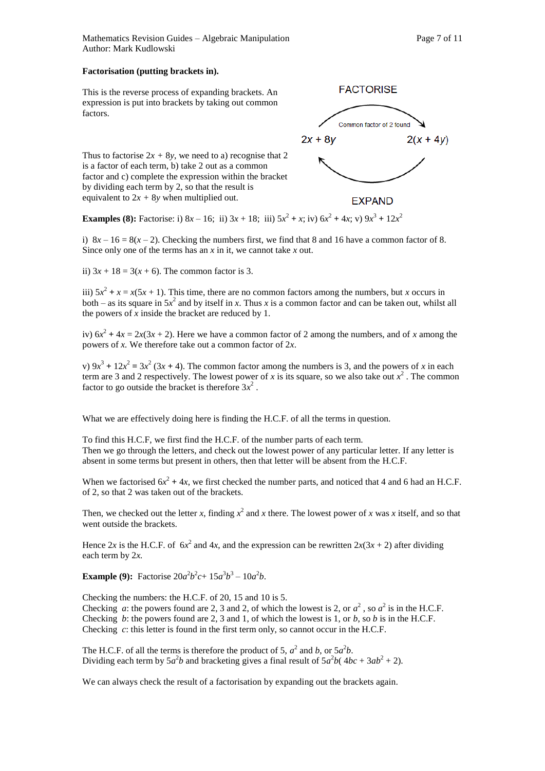Mathematics Revision Guides – Algebraic Manipulation Page 7 of 11 Author: Mark Kudlowski

#### **Factorisation (putting brackets in).**

This is the reverse process of expanding brackets. An expression is put into brackets by taking out common factors.



Thus to factorise  $2x + 8y$ , we need to a) recognise that 2 is a factor of each term, b) take 2 out as a common factor and c) complete the expression within the bracket by dividing each term by 2, so that the result is equivalent to  $2x + 8y$  when multiplied out.

**Examples (8):** Factorise: i)  $8x - 16$ ; ii)  $3x + 18$ ; iii)  $5x^2 + x$ ; iv)  $6x^2 + 4x$ ; v)  $9x^3 + 12x^2$ 

i)  $8x - 16 = 8(x - 2)$ . Checking the numbers first, we find that 8 and 16 have a common factor of 8. Since only one of the terms has an *x* in it, we cannot take *x* out.

ii)  $3x + 18 = 3(x + 6)$ . The common factor is 3.

iii)  $5x^2 + x = x(5x + 1)$ . This time, there are no common factors among the numbers, but *x* occurs in both – as its square in  $5x^2$  and by itself in *x*. Thus *x* is a common factor and can be taken out, whilst all the powers of *x* inside the bracket are reduced by 1.

iv)  $6x^2 + 4x = 2x(3x + 2)$ . Here we have a common factor of 2 among the numbers, and of *x* among the powers of *x.* We therefore take out a common factor of 2*x*.

v)  $9x^3 + 12x^2 = 3x^2 (3x + 4)$ . The common factor among the numbers is 3, and the powers of *x* in each term are 3 and 2 respectively. The lowest power of *x* is its square, so we also take out  $x^2$ . The common factor to go outside the bracket is therefore  $3x^2$ .

What we are effectively doing here is finding the H.C.F. of all the terms in question.

To find this H.C.F, we first find the H.C.F. of the number parts of each term. Then we go through the letters, and check out the lowest power of any particular letter. If any letter is absent in some terms but present in others, then that letter will be absent from the H.C.F.

When we factorised  $6x^2 + 4x$ , we first checked the number parts, and noticed that 4 and 6 had an H.C.F. of 2, so that 2 was taken out of the brackets.

Then, we checked out the letter *x*, finding  $x^2$  and *x* there. The lowest power of *x* was *x* itself, and so that went outside the brackets.

Hence 2x is the H.C.F. of  $6x^2$  and 4x, and the expression can be rewritten  $2x(3x + 2)$  after dividing each term by 2*x.* 

**Example (9):** Factorise  $20a^2b^2c + 15a^3b^3 - 10a^2b$ .

Checking the numbers: the H.C.F. of 20, 15 and 10 is 5. Checking *a*: the powers found are 2, 3 and 2, of which the lowest is 2, or  $a^2$ , so  $a^2$  is in the H.C.F. Checking *b*: the powers found are 2, 3 and 1, of which the lowest is 1, or *b*, so *b* is in the H.C.F. Checking *c*: this letter is found in the first term only, so cannot occur in the H.C.F.

The H.C.F. of all the terms is therefore the product of 5,  $a^2$  and b, or  $5a^2b$ . Dividing each term by  $5a^2b$  and bracketing gives a final result of  $5a^2b(4bc + 3ab^2 + 2)$ .

We can always check the result of a factorisation by expanding out the brackets again.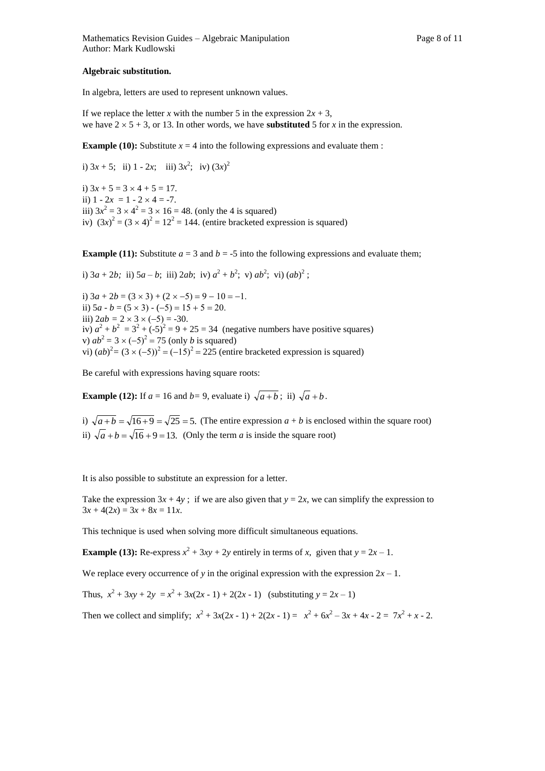#### **Algebraic substitution.**

In algebra, letters are used to represent unknown values.

If we replace the letter *x* with the number 5 in the expression  $2x + 3$ , we have  $2 \times 5 + 3$ , or 13. In other words, we have **substituted** 5 for *x* in the expression.

**Example (10):** Substitute  $x = 4$  into the following expressions and evaluate them :

i)  $3x + 5$ ; ii)  $1 - 2x$ ; iii)  $3x^2$ ; iv)  $(3x)^2$ i)  $3x + 5 = 3 \times 4 + 5 = 17$ . ii)  $1 - 2x = 1 - 2 \times 4 = -7$ . iii)  $3x^2 = 3 \times 4^2 = 3 \times 16 = 48$ . (only the 4 is squared) iv)  $(3x)^2 = (3 \times 4)^2 = 12^2 = 144$ . (entire bracketed expression is squared)

**Example (11):** Substitute  $a = 3$  and  $b = -5$  into the following expressions and evaluate them;

i)  $3a + 2b$ ; ii)  $5a - b$ ; iii)  $2ab$ ; iv)  $a^2 + b^2$ ; v)  $ab^2$ ; vi)  $(ab)^2$ ;

i)  $3a + 2b = (3 \times 3) + (2 \times -5) = 9 - 10 = -1$ . ii)  $5a - b = (5 \times 3) - (-5) = 15 + 5 = 20$ . iii)  $2ab = 2 \times 3 \times (-5) = -30$ . iv)  $a^2 + b^2 = 3^2 + (-5)^2 = 9 + 25 = 34$  (negative numbers have positive squares) v)  $ab^2 = 3 \times (-5)^2 = 75$  (only *b* is squared) vi)  $(ab)^2 = (3 \times (-5))^2 = (-15)^2 = 225$  (entire bracketed expression is squared)

Be careful with expressions having square roots:

**Example (12):** If  $a = 16$  and  $b = 9$ , evaluate i)  $\sqrt{a+b}$ ; ii)  $\sqrt{a+b}$ .

i)  $\sqrt{a+b} = \sqrt{16+9} = \sqrt{25} = 5$ . (The entire expression  $a+b$  is enclosed within the square root) ii)  $\sqrt{a+b} = \sqrt{16+9} = 13$ . (Only the term *a* is inside the square root)

It is also possible to substitute an expression for a letter.

Take the expression  $3x + 4y$ ; if we are also given that  $y = 2x$ , we can simplify the expression to  $3x + 4(2x) = 3x + 8x = 11x$ .

This technique is used when solving more difficult simultaneous equations.

**Example (13):** Re-express  $x^2 + 3xy + 2y$  entirely in terms of *x*, given that  $y = 2x - 1$ .

We replace every occurrence of *y* in the original expression with the expression  $2x - 1$ .

Thus,  $x^2 + 3xy + 2y = x^2 + 3x(2x - 1) + 2(2x - 1)$  (substituting  $y = 2x - 1$ )

Then we collect and simplify;  $x^2 + 3x(2x - 1) + 2(2x - 1) = x^2 + 6x^2 - 3x + 4x - 2 = 7x^2 + x - 2$ .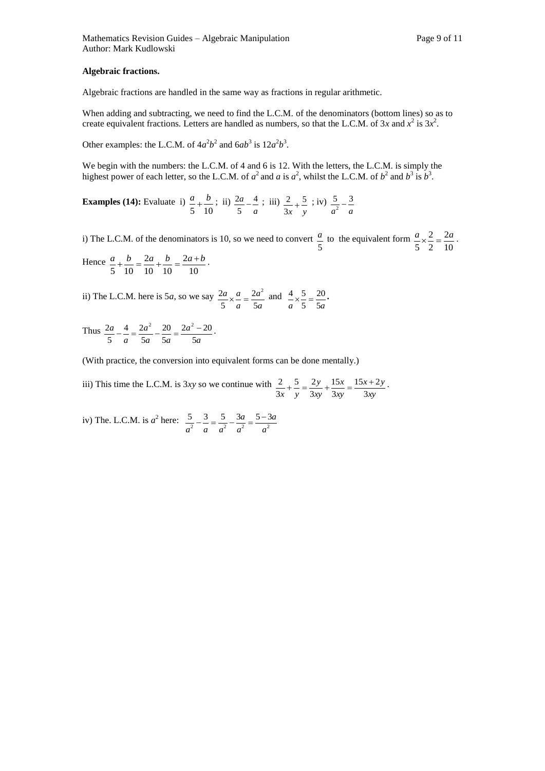#### **Algebraic fractions.**

Algebraic fractions are handled in the same way as fractions in regular arithmetic.

When adding and subtracting, we need to find the L.C.M. of the denominators (bottom lines) so as to create equivalent fractions. Letters are handled as numbers, so that the L.C.M. of  $3x$  and  $x^2$  is  $3x^2$ .

Other examples: the L.C.M. of  $4a^2b^2$  and  $6ab^3$  is  $12a^2b^3$ .

We begin with the numbers: the L.C.M. of 4 and 6 is 12. With the letters, the L.C.M. is simply the highest power of each letter, so the L.C.M. of  $a^2$  and  $a$  is  $a^2$ , whilst the L.C.M. of  $b^2$  and  $b^3$  is  $b^3$ .

**Examples (14):** Evaluate i) 5 10  $\frac{a}{b} + \frac{b}{c}$ ; ii) *a a* 4 5  $\frac{2a}{1} - \frac{4}{1}$ ; iii) *x y* 5 3  $\frac{2}{1} + \frac{5}{1}$ ; iv)  $a^2$  *a*  $\frac{5}{a^2} - \frac{3}{a}$ 

i) The L.C.M. of the denominators is 10, so we need to convert 5  $\frac{a}{b}$  to the equivalent form 10 2 2 2 5  $\frac{a}{2} \times \frac{2}{2} = \frac{2a}{12}$ .  $\frac{a}{a} + \frac{b}{b} = \frac{2a}{b} + \frac{b}{c} = \frac{2a+b}{c}$ 

Hence 
$$
\frac{a}{5} + \frac{b}{10} = \frac{2a}{10} + \frac{b}{10} = \frac{2a+b}{10}
$$

ii) The L.C.M. here is 5*a*, so we say *a a a a a* 5  $\overline{c}$ 5  $\frac{2a}{2} \times \frac{a}{2} = \frac{2a^2}{2}$  and *a* 5*a* 20 5  $\frac{4}{2} \times \frac{5}{4} = \frac{20}{4}$ 

Thus *a a a a a a a* 5  $2a^2 - 20$ 5 20 5 4 2 5  $\frac{2a}{5} - \frac{4}{5} = \frac{2a^2}{5} - \frac{20}{5} = \frac{2a^2 - 20}{5}$ 

(With practice, the conversion into equivalent forms can be done mentally.)

iii) This time the L.C.M. is 3*xy* so we continue with *xy*  $x + 2y$ *xy x xy y x y* 3  $15x + 2$ 3 15 3 5 2 3  $\frac{2}{2} + \frac{5}{2} = \frac{2y}{2} + \frac{15x}{2} = \frac{15x + 2y}{2}$ 

iv) The. L.C.M. is  $a^2$  here:  $\frac{5}{a^2} - \frac{3}{a} = \frac{5}{a^2} - \frac{3a}{a^2} = \frac{5-3}{a^2}$ 5 3 5 3  $a$  5 - 3  $a$ *a a a a a a a*  $-\frac{3}{2} = \frac{5}{2} - \frac{3a}{2} = \frac{5-3a}{2}$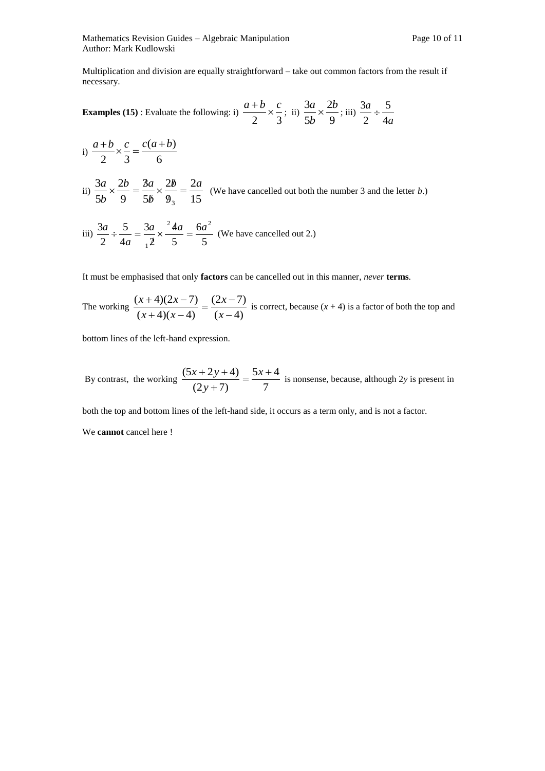Multiplication and division are equally straightforward – take out common factors from the result if necessary.

**Examples (15)**: Evaluate the following: i)  $\frac{2}{2} \times \frac{1}{3}$  $\frac{a+b}{2} \times \frac{c}{3}$ ; ii)  $\frac{3a}{5b} \times \frac{2b}{9}$ 2 5  $3a \t2b$ *b*  $\frac{a}{b} \times \frac{2b}{c}$ ; iii) *a a* 4 5 2  $\frac{3a}{4}$  ÷

i) 
$$
\frac{a+b}{2} \times \frac{c}{3} = \frac{c(a+b)}{6}
$$

ii)  $\frac{3\pi}{5b} \times \frac{2\pi}{9} = \frac{3\pi}{5b} \times \frac{2\pi}{9} = \frac{3\pi}{15}$ 2 9 2 5 3 9 2 5 3 3 *b a b b a b*  $\frac{a}{b} \times \frac{2b}{c} = \frac{3a}{b} \times \frac{2b}{c} =$ g  $\times \frac{2l}{\epsilon}$  $\ell$  $\times \frac{2b}{\sqrt{2}} = \frac{3a}{\sqrt{2}} \times \frac{2b}{\sqrt{2}} = \frac{2a}{\sqrt{2}}$  (We have cancelled out both the number 3 and the letter *b*.)

iii) 
$$
\frac{3a}{2} \div \frac{5}{4a} = \frac{3a}{12} \times \frac{^{2}4a}{5} = \frac{6a^{2}}{5}
$$
 (We have cancelled out 2.)

It must be emphasised that only **factors** can be cancelled out in this manner, *never* **terms**.

The working 
$$
\frac{(x+4)(2x-7)}{(x+4)(x-4)} = \frac{(2x-7)}{(x-4)}
$$
 is correct, because  $(x + 4)$  is a factor of both the top and

bottom lines of the left-hand expression.

By contrast, the working  $\frac{(2y+7)}{(2y+7)} = \frac{2y+7}{7}$  $5x + 4$  $(2y+7)$  $\frac{(5x+2y+4)}{2} = \frac{5x+1}{2}$  $\overline{+}$  $+2y+4$  5x *y*  $\frac{x+2y+4}{y} = \frac{5x+4}{x}$  is nonsense, because, although 2*y* is present in

both the top and bottom lines of the left-hand side, it occurs as a term only, and is not a factor.

We **cannot** cancel here !